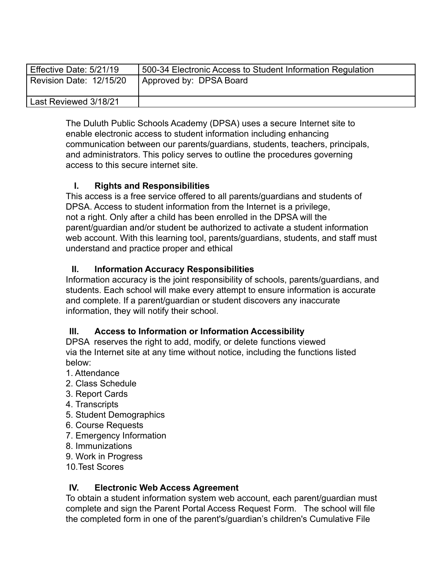| Effective Date: 5/21/19 | 500-34 Electronic Access to Student Information Regulation |
|-------------------------|------------------------------------------------------------|
| Revision Date: 12/15/20 | Approved by: DPSA Board                                    |
| Last Reviewed 3/18/21   |                                                            |

The Duluth Public Schools Academy (DPSA) uses a secure Internet site to enable electronic access to student information including enhancing communication between our parents/guardians, students, teachers, principals, and administrators. This policy serves to outline the procedures governing access to this secure internet site.

# **I. Rights and Responsibilities**

This access is a free service offered to all parents/guardians and students of DPSA. Access to student information from the Internet is a privilege, not a right. Only after a child has been enrolled in the DPSA will the parent/guardian and/or student be authorized to activate a student information web account. With this learning tool, parents/guardians, students, and staff must understand and practice proper and ethical

# **II. Information Accuracy Responsibilities**

Information accuracy is the joint responsibility of schools, parents/guardians, and students. Each school will make every attempt to ensure information is accurate and complete. If a parent/guardian or student discovers any inaccurate information, they will notify their school.

# **III. Access to Information or Information Accessibility**

DPSA reserves the right to add, modify, or delete functions viewed via the Internet site at any time without notice, including the functions listed below:

- 1. Attendance
- 2. Class Schedule
- 3. Report Cards
- 4. Transcripts
- 5. Student Demographics
- 6. Course Requests
- 7. Emergency Information
- 8. Immunizations
- 9. Work in Progress
- 10.Test Scores

# **IV. Electronic Web Access Agreement**

To obtain a student information system web account, each parent/guardian must complete and sign the Parent Portal Access Request Form. The school will file the completed form in one of the parent's/guardian's children's Cumulative File